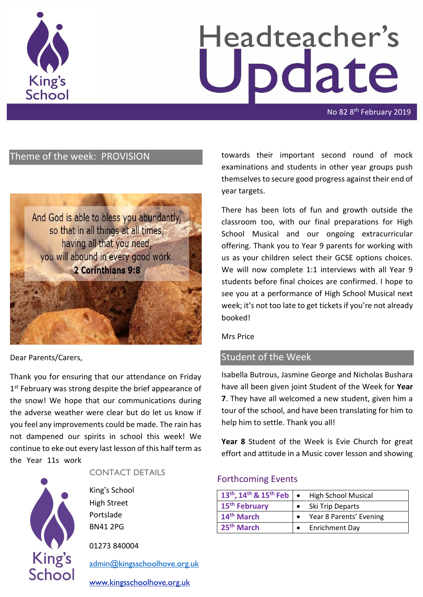

# Headteacher's pdate

No 82 8<sup>th</sup> February 2019

## Theme of the week: PROVISION



#### Dear Parents/Carers,

Thank you for ensuring that our attendance on Friday 1<sup>st</sup> February was strong despite the brief appearance of the snow! We hope that our communications during the adverse weather were clear but do let us know if you feel any improvements could be made. The rain has not dampened our spirits in school this week! We continue to eke out every last lesson of this half term as the Year 11s work



#### CONTACT DETAILS

King's School High Street Portslade BN41 2PG

01273 840004

[admin@kingsschoolhove.org.uk](mailto:admin@kingsschoolhove.org.uk)

[www.kingsschoolhove.org.uk](http://www.kingsschoolhove.org.uk/)

towards their important second round of mock examinations and students in other year groups push themselves to secure good progress against their end of year targets.

There has been lots of fun and growth outside the classroom too, with our final preparations for High School Musical and our ongoing extracurricular offering. Thank you to Year 9 parents for working with us as your children select their GCSE options choices. We will now complete 1:1 interviews with all Year 9 students before final choices are confirmed. I hope to see you at a performance of High School Musical next week; it's not too late to get tickets if you're not already booked!

Mrs Price

## Student of the Week

Isabella Butrous, Jasmine George and Nicholas Bushara have all been given joint Student of the Week for **Year 7**. They have all welcomed a new student, given him a tour of the school, and have been translating for him to help him to settle. Thank you all!

**Year 8** Student of the Week is Evie Church for great effort and attitude in a Music cover lesson and showing

#### Forthcoming Events

| 13 <sup>th</sup> , 14 <sup>th</sup> & 15 <sup>th</sup> Feb $\bullet$ | <b>High School Musical</b> |
|----------------------------------------------------------------------|----------------------------|
| 15 <sup>th</sup> February                                            | Ski Trip Departs           |
| 14 <sup>th</sup> March                                               | Year 8 Parents' Evening    |
| 25 <sup>th</sup> March                                               | <b>Enrichment Day</b>      |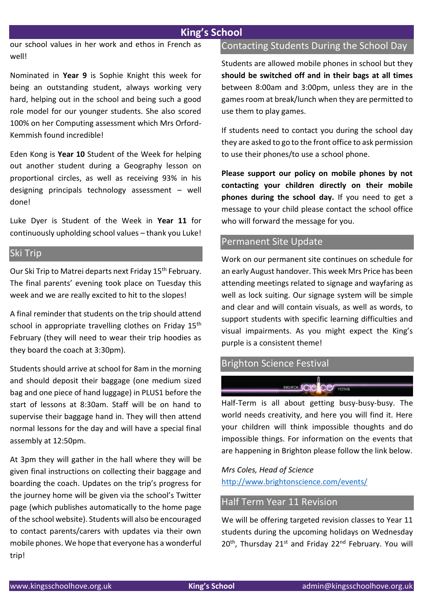## **King's School**

our school values in her work and ethos in French as well!

Nominated in **Year 9** is Sophie Knight this week for being an outstanding student, always working very hard, helping out in the school and being such a good role model for our younger students. She also scored 100% on her Computing assessment which Mrs Orford-Kemmish found incredible!

Eden Kong is **Year 10** Student of the Week for helping out another student during a Geography lesson on proportional circles, as well as receiving 93% in his designing principals technology assessment – well done!

Luke Dyer is Student of the Week in **Year 11** for continuously upholding school values – thank you Luke!

## Ski Trip

Our Ski Trip to Matrei departs next Friday 15<sup>th</sup> February. The final parents' evening took place on Tuesday this week and we are really excited to hit to the slopes!

A final reminder that students on the trip should attend school in appropriate travelling clothes on Friday 15<sup>th</sup> February (they will need to wear their trip hoodies as they board the coach at 3:30pm).

Students should arrive at school for 8am in the morning and should deposit their baggage (one medium sized bag and one piece of hand luggage) in PLUS1 before the start of lessons at 8:30am. Staff will be on hand to supervise their baggage hand in. They will then attend normal lessons for the day and will have a special final assembly at 12:50pm.

At 3pm they will gather in the hall where they will be given final instructions on collecting their baggage and boarding the coach. Updates on the trip's progress for the journey home will be given via the school's Twitter page (which publishes automatically to the home page of the school website). Students will also be encouraged to contact parents/carers with updates via their own mobile phones. We hope that everyone has a wonderful trip!

#### Contacting Students During the School Day

Students are allowed mobile phones in school but they **should be switched off and in their bags at all times** between 8:00am and 3:00pm, unless they are in the games room at break/lunch when they are permitted to use them to play games.

If students need to contact you during the school day they are asked to go to the front office to ask permission to use their phones/to use a school phone.

**Please support our policy on mobile phones by not contacting your children directly on their mobile phones during the school day.** If you need to get a message to your child please contact the school office who will forward the message for you.

#### Permanent Site Update

Work on our permanent site continues on schedule for an early August handover. This week Mrs Price has been attending meetings related to signage and wayfaring as well as lock suiting. Our signage system will be simple and clear and will contain visuals, as well as words, to support students with specific learning difficulties and visual impairments. As you might expect the King's purple is a consistent theme!

## Brighton Science Festival

Half-Term is all about getting busy-busy-busy. The world needs creativity, and here you will find it. Here your children will think impossible thoughts and do impossible things. For information on the events that are happening in Brighton please follow the link below.

**BRIGHTON SCIE CO FESTIVAL** 

*Mrs Coles, Head of Science*  <http://www.brightonscience.com/events/>

## Half Term Year 11 Revision

We will be offering targeted revision classes to Year 11 students during the upcoming holidays on Wednesday 20<sup>th</sup>, Thursday 21<sup>st</sup> and Friday 22<sup>nd</sup> February. You will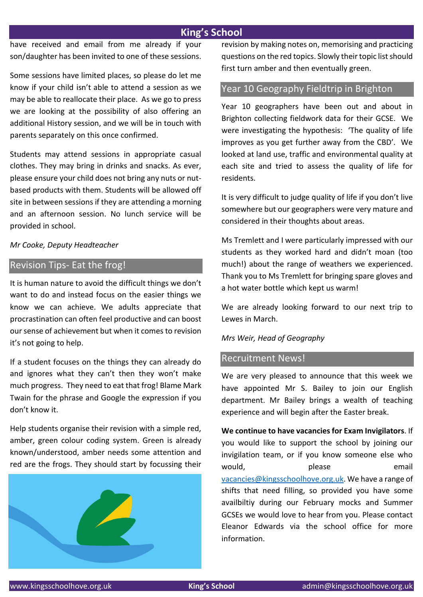## **King's School**

have received and email from me already if your son/daughter has been invited to one of these sessions.

Some sessions have limited places, so please do let me know if your child isn't able to attend a session as we may be able to reallocate their place. As we go to press we are looking at the possibility of also offering an additional History session, and we will be in touch with parents separately on this once confirmed.

Students may attend sessions in appropriate casual clothes. They may bring in drinks and snacks. As ever, please ensure your child does not bring any nuts or nutbased products with them. Students will be allowed off site in between sessions if they are attending a morning and an afternoon session. No lunch service will be provided in school.

#### *Mr Cooke, Deputy Headteacher*

## Revision Tips- Eat the frog!

It is human nature to avoid the difficult things we don't want to do and instead focus on the easier things we know we can achieve. We adults appreciate that procrastination can often feel productive and can boost our sense of achievement but when it comes to revision it's not going to help.

If a student focuses on the things they can already do and ignores what they can't then they won't make much progress. They need to eat that frog! Blame Mark Twain for the phrase and Google the expression if you don't know it.

Help students organise their revision with a simple red, amber, green colour coding system. Green is already known/understood, amber needs some attention and red are the frogs. They should start by focussing their



revision by making notes on, memorising and practicing questions on the red topics. Slowly their topic list should first turn amber and then eventually green.

## Year 10 Geography Fieldtrip in Brighton

Year 10 geographers have been out and about in Brighton collecting fieldwork data for their GCSE. We were investigating the hypothesis: 'The quality of life improves as you get further away from the CBD'. We looked at land use, traffic and environmental quality at each site and tried to assess the quality of life for residents.

It is very difficult to judge quality of life if you don't live somewhere but our geographers were very mature and considered in their thoughts about areas.

Ms Tremlett and I were particularly impressed with our students as they worked hard and didn't moan (too much!) about the range of weathers we experienced. Thank you to Ms Tremlett for bringing spare gloves and a hot water bottle which kept us warm!

We are already looking forward to our next trip to Lewes in March.

#### *Mrs Weir, Head of Geography*

#### Recruitment News!

We are very pleased to announce that this week we have appointed Mr S. Bailey to join our English department. Mr Bailey brings a wealth of teaching experience and will begin after the Easter break.

**We continue to have vacancies for Exam Invigilators**. If you would like to support the school by joining our invigilation team, or if you know someone else who would, blease please email [vacancies@kingsschoolhove.org.uk.](mailto:vacancies@kingsschoolhove.org.uk) We have a range of shifts that need filling, so provided you have some availbiltiy during our February mocks and Summer GCSEs we would love to hear from you. Please contact Eleanor Edwards via the school office for more information.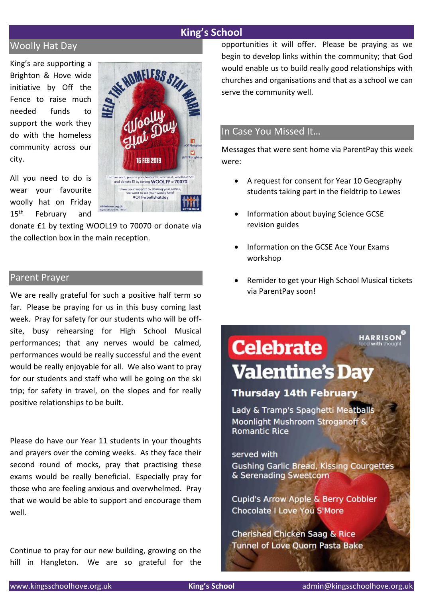#### **King's School**

## Woolly Hat Day

King's are supporting a Brighton & Hove wide initiative by Off the Fence to raise much needed funds to support the work they do with the homeless community across our city.

All you need to do is wear your favourite woolly hat on Friday 15<sup>th</sup> February and



donate £1 by texting WOOL19 to 70070 or donate via the collection box in the main reception.

#### Parent Prayer

We are really grateful for such a positive half term so far. Please be praying for us in this busy coming last week. Pray for safety for our students who will be offsite, busy rehearsing for High School Musical performances; that any nerves would be calmed, performances would be really successful and the event would be really enjoyable for all. We also want to pray for our students and staff who will be going on the ski trip; for safety in travel, on the slopes and for really positive relationships to be built.

Please do have our Year 11 students in your thoughts and prayers over the coming weeks. As they face their second round of mocks, pray that practising these exams would be really beneficial. Especially pray for those who are feeling anxious and overwhelmed. Pray that we would be able to support and encourage them well.

Continue to pray for our new building, growing on the hill in Hangleton. We are so grateful for the opportunities it will offer. Please be praying as we begin to develop links within the community; that God would enable us to build really good relationships with churches and organisations and that as a school we can serve the community well.

#### In Case You Missed It…

Messages that were sent home via ParentPay this week were:

- A request for consent for Year 10 Geography students taking part in the fieldtrip to Lewes
- Information about buying Science GCSE revision guides
- Information on the GCSE Ace Your Exams workshop
- Remider to get your High School Musical tickets via ParentPay soon!

## **RRISON Celebrate Valentine's Day**

## **Thursday 14th February**

Lady & Tramp's Spaghetti Meatballs Moonlight Mushroom Stroganoff & **Romantic Rice** 

served with **Gushing Garlic Bread, Kissing Courgettes** & Serenading Sweetcorn

Cupid's Arrow Apple & Berry Cobbler **Chocolate I Love You S'More** 

Cherished Chicken Saag & Rice **Tunnel of Love Quorn Pasta Bake**